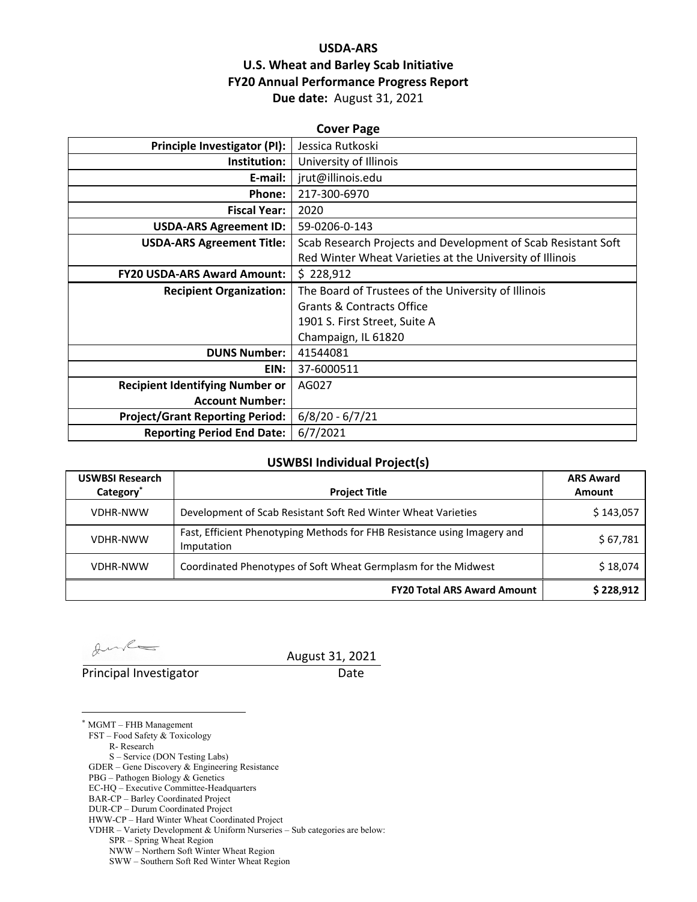## **USDA‐ARS U.S. Wheat and Barley Scab Initiative FY20 Annual Performance Progress Report Due date:** August 31, 2021

| <b>Cover Page</b>                      |                                                               |  |  |  |
|----------------------------------------|---------------------------------------------------------------|--|--|--|
| <b>Principle Investigator (PI):</b>    | Jessica Rutkoski                                              |  |  |  |
| Institution:                           | University of Illinois                                        |  |  |  |
| E-mail:                                | jrut@illinois.edu                                             |  |  |  |
| Phone:                                 | 217-300-6970                                                  |  |  |  |
| <b>Fiscal Year:</b>                    | 2020                                                          |  |  |  |
| <b>USDA-ARS Agreement ID:</b>          | 59-0206-0-143                                                 |  |  |  |
| <b>USDA-ARS Agreement Title:</b>       | Scab Research Projects and Development of Scab Resistant Soft |  |  |  |
|                                        | Red Winter Wheat Varieties at the University of Illinois      |  |  |  |
| <b>FY20 USDA-ARS Award Amount:</b>     | \$228,912                                                     |  |  |  |
| <b>Recipient Organization:</b>         | The Board of Trustees of the University of Illinois           |  |  |  |
|                                        | <b>Grants &amp; Contracts Office</b>                          |  |  |  |
|                                        | 1901 S. First Street, Suite A                                 |  |  |  |
|                                        | Champaign, IL 61820                                           |  |  |  |
| <b>DUNS Number:</b>                    | 41544081                                                      |  |  |  |
| EIN:                                   | 37-6000511                                                    |  |  |  |
| <b>Recipient Identifying Number or</b> | AG027                                                         |  |  |  |
| <b>Account Number:</b>                 |                                                               |  |  |  |
| <b>Project/Grant Reporting Period:</b> | $6/8/20 - 6/7/21$                                             |  |  |  |
| <b>Reporting Period End Date:</b>      | 6/7/2021                                                      |  |  |  |

## **USWBSI Individual Project(s)**

| <b>USWBSI Research</b><br>Category <sup>*</sup> | <b>Project Title</b>                                                                   | <b>ARS Award</b><br>Amount |  |
|-------------------------------------------------|----------------------------------------------------------------------------------------|----------------------------|--|
| <b>VDHR-NWW</b>                                 | Development of Scab Resistant Soft Red Winter Wheat Varieties                          | \$143,057                  |  |
| <b>VDHR-NWW</b>                                 | Fast, Efficient Phenotyping Methods for FHB Resistance using Imagery and<br>Imputation | \$67,781                   |  |
| <b>VDHR-NWW</b>                                 | Coordinated Phenotypes of Soft Wheat Germplasm for the Midwest                         | \$18,074                   |  |
|                                                 | <b>FY20 Total ARS Award Amount</b>                                                     | \$228,912                  |  |

 $\ell$ 

 $\overline{a}$ 

Principal Investigator **Date** 

August 31, 2021

\* MGMT – FHB Management

FST – Food Safety & Toxicology

R- Research

S – Service (DON Testing Labs)

GDER – Gene Discovery & Engineering Resistance

PBG – Pathogen Biology & Genetics

- EC-HQ Executive Committee-Headquarters BAR-CP – Barley Coordinated Project
- DUR-CP Durum Coordinated Project

HWW-CP – Hard Winter Wheat Coordinated Project

VDHR – Variety Development & Uniform Nurseries – Sub categories are below:

SPR – Spring Wheat Region

NWW – Northern Soft Winter Wheat Region

SWW – Southern Soft Red Winter Wheat Region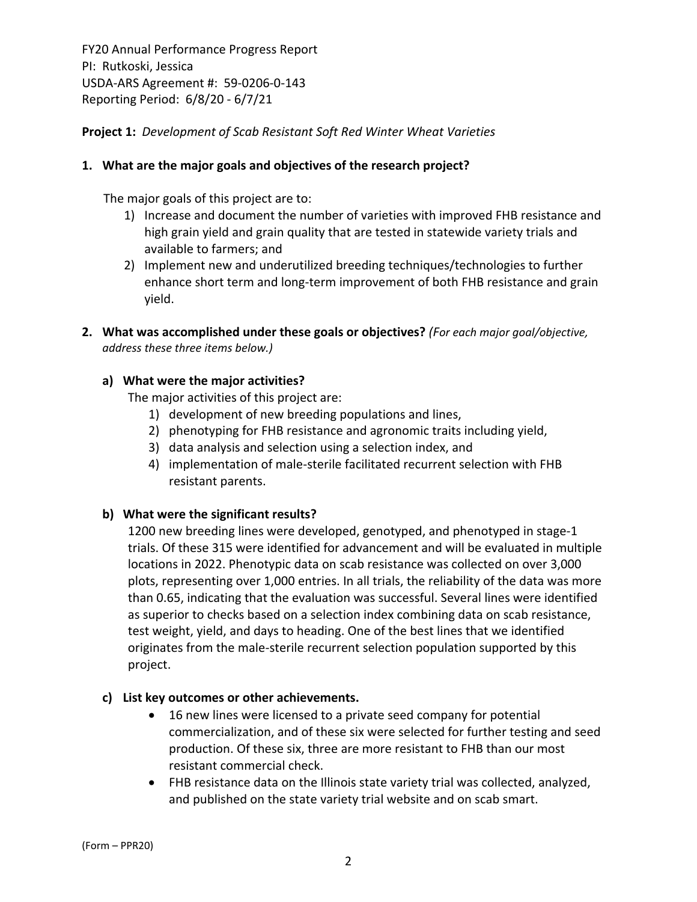**Project 1:** *Development of Scab Resistant Soft Red Winter Wheat Varieties*

## **1. What are the major goals and objectives of the research project?**

The major goals of this project are to:

- 1) Increase and document the number of varieties with improved FHB resistance and high grain yield and grain quality that are tested in statewide variety trials and available to farmers; and
- 2) Implement new and underutilized breeding techniques/technologies to further enhance short term and long‐term improvement of both FHB resistance and grain yield.
- **2. What was accomplished under these goals or objectives?** *(For each major goal/objective, address these three items below.)*

## **a) What were the major activities?**

The major activities of this project are:

- 1) development of new breeding populations and lines,
- 2) phenotyping for FHB resistance and agronomic traits including yield,
- 3) data analysis and selection using a selection index, and
- 4) implementation of male‐sterile facilitated recurrent selection with FHB resistant parents.

#### **b) What were the significant results?**

1200 new breeding lines were developed, genotyped, and phenotyped in stage‐1 trials. Of these 315 were identified for advancement and will be evaluated in multiple locations in 2022. Phenotypic data on scab resistance was collected on over 3,000 plots, representing over 1,000 entries. In all trials, the reliability of the data was more than 0.65, indicating that the evaluation was successful. Several lines were identified as superior to checks based on a selection index combining data on scab resistance, test weight, yield, and days to heading. One of the best lines that we identified originates from the male‐sterile recurrent selection population supported by this project.

#### **c) List key outcomes or other achievements.**

- 16 new lines were licensed to a private seed company for potential commercialization, and of these six were selected for further testing and seed production. Of these six, three are more resistant to FHB than our most resistant commercial check.
- FHB resistance data on the Illinois state variety trial was collected, analyzed, and published on the state variety trial website and on scab smart.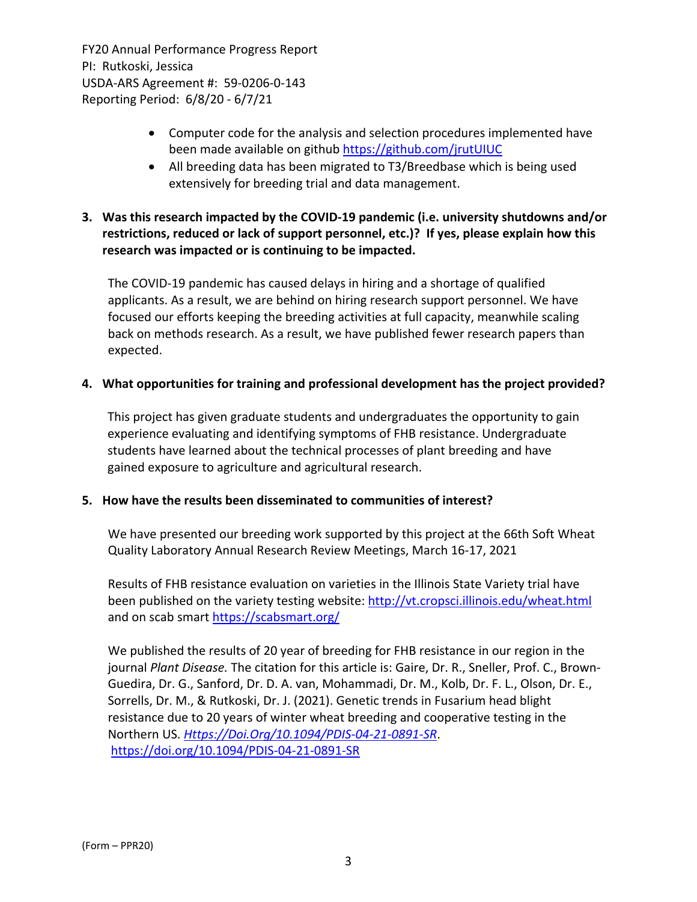- Computer code for the analysis and selection procedures implemented have been made available on github https://github.com/jrutUIUC
- All breeding data has been migrated to T3/Breedbase which is being used extensively for breeding trial and data management.

# **3. Was this research impacted by the COVID‐19 pandemic (i.e. university shutdowns and/or restrictions, reduced or lack of support personnel, etc.)? If yes, please explain how this research was impacted or is continuing to be impacted.**

The COVID‐19 pandemic has caused delays in hiring and a shortage of qualified applicants. As a result, we are behind on hiring research support personnel. We have focused our efforts keeping the breeding activities at full capacity, meanwhile scaling back on methods research. As a result, we have published fewer research papers than expected.

## **4. What opportunities for training and professional development has the project provided?**

This project has given graduate students and undergraduates the opportunity to gain experience evaluating and identifying symptoms of FHB resistance. Undergraduate students have learned about the technical processes of plant breeding and have gained exposure to agriculture and agricultural research.

#### **5. How have the results been disseminated to communities of interest?**

We have presented our breeding work supported by this project at the 66th Soft Wheat Quality Laboratory Annual Research Review Meetings, March 16‐17, 2021

Results of FHB resistance evaluation on varieties in the Illinois State Variety trial have been published on the variety testing website: http://vt.cropsci.illinois.edu/wheat.html and on scab smart https://scabsmart.org/

We published the results of 20 year of breeding for FHB resistance in our region in the journal *Plant Disease.* The citation for this article is: Gaire, Dr. R., Sneller, Prof. C., Brown‐ Guedira, Dr. G., Sanford, Dr. D. A. van, Mohammadi, Dr. M., Kolb, Dr. F. L., Olson, Dr. E., Sorrells, Dr. M., & Rutkoski, Dr. J. (2021). Genetic trends in Fusarium head blight resistance due to 20 years of winter wheat breeding and cooperative testing in the Northern US. *Https://Doi.Org/10.1094/PDIS‐04‐21‐0891‐SR*. https://doi.org/10.1094/PDIS‐04‐21‐0891‐SR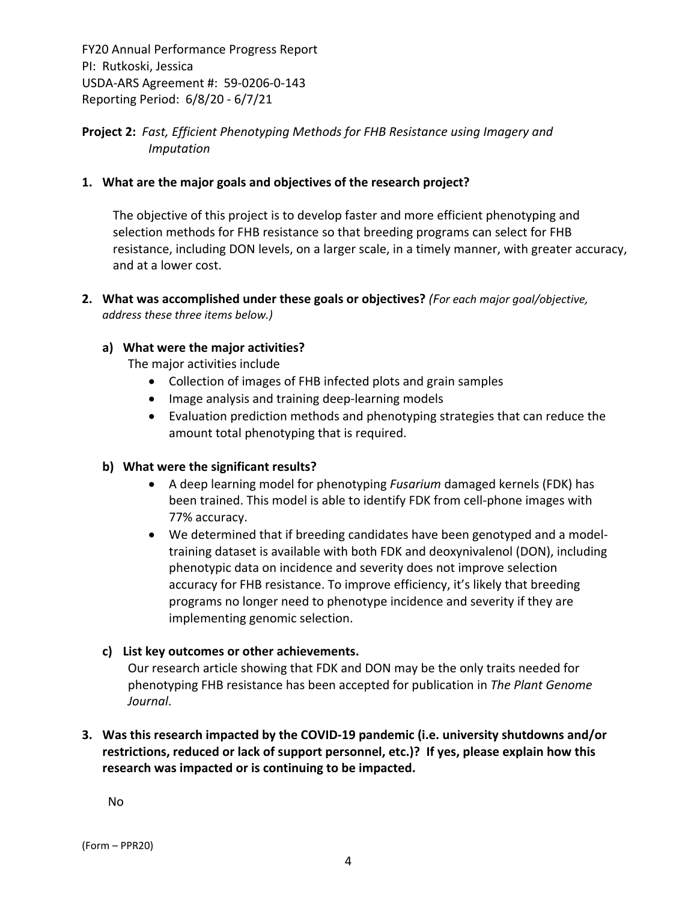**Project 2:** *Fast, Efficient Phenotyping Methods for FHB Resistance using Imagery and Imputation*

## **1. What are the major goals and objectives of the research project?**

The objective of this project is to develop faster and more efficient phenotyping and selection methods for FHB resistance so that breeding programs can select for FHB resistance, including DON levels, on a larger scale, in a timely manner, with greater accuracy, and at a lower cost.

**2. What was accomplished under these goals or objectives?** *(For each major goal/objective, address these three items below.)*

## **a) What were the major activities?**

The major activities include

- Collection of images of FHB infected plots and grain samples
- Image analysis and training deep-learning models
- Evaluation prediction methods and phenotyping strategies that can reduce the amount total phenotyping that is required.

#### **b) What were the significant results?**

- A deep learning model for phenotyping *Fusarium* damaged kernels (FDK) has been trained. This model is able to identify FDK from cell‐phone images with 77% accuracy.
- We determined that if breeding candidates have been genotyped and a modeltraining dataset is available with both FDK and deoxynivalenol (DON), including phenotypic data on incidence and severity does not improve selection accuracy for FHB resistance. To improve efficiency, it's likely that breeding programs no longer need to phenotype incidence and severity if they are implementing genomic selection.

#### **c) List key outcomes or other achievements.**

Our research article showing that FDK and DON may be the only traits needed for phenotyping FHB resistance has been accepted for publication in *The Plant Genome Journal*.

# **3. Was this research impacted by the COVID‐19 pandemic (i.e. university shutdowns and/or restrictions, reduced or lack of support personnel, etc.)? If yes, please explain how this research was impacted or is continuing to be impacted.**

No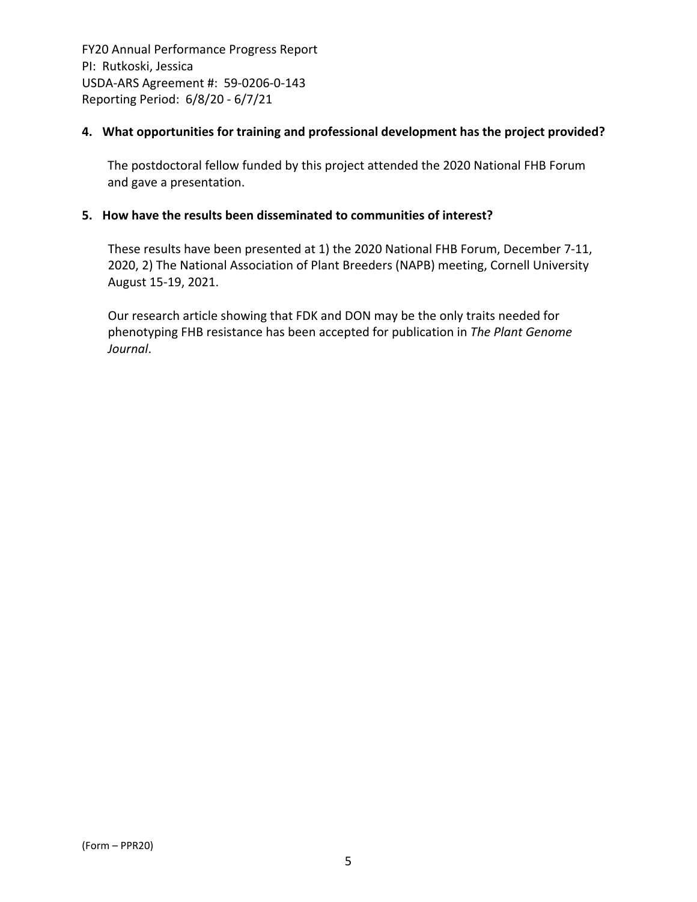## **4. What opportunities for training and professional development has the project provided?**

The postdoctoral fellow funded by this project attended the 2020 National FHB Forum and gave a presentation.

## **5. How have the results been disseminated to communities of interest?**

These results have been presented at 1) the 2020 National FHB Forum, December 7‐11, 2020, 2) The National Association of Plant Breeders (NAPB) meeting, Cornell University August 15‐19, 2021.

Our research article showing that FDK and DON may be the only traits needed for phenotyping FHB resistance has been accepted for publication in *The Plant Genome Journal*.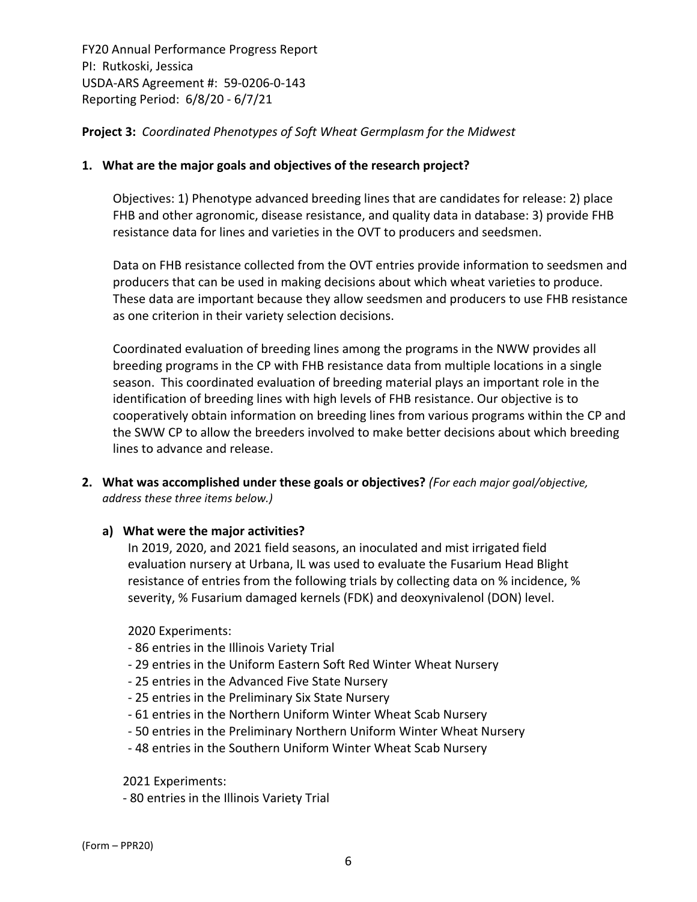**Project 3:** *Coordinated Phenotypes of Soft Wheat Germplasm for the Midwest*

## **1. What are the major goals and objectives of the research project?**

Objectives: 1) Phenotype advanced breeding lines that are candidates for release: 2) place FHB and other agronomic, disease resistance, and quality data in database: 3) provide FHB resistance data for lines and varieties in the OVT to producers and seedsmen.

Data on FHB resistance collected from the OVT entries provide information to seedsmen and producers that can be used in making decisions about which wheat varieties to produce. These data are important because they allow seedsmen and producers to use FHB resistance as one criterion in their variety selection decisions.

Coordinated evaluation of breeding lines among the programs in the NWW provides all breeding programs in the CP with FHB resistance data from multiple locations in a single season. This coordinated evaluation of breeding material plays an important role in the identification of breeding lines with high levels of FHB resistance. Our objective is to cooperatively obtain information on breeding lines from various programs within the CP and the SWW CP to allow the breeders involved to make better decisions about which breeding lines to advance and release.

- **2. What was accomplished under these goals or objectives?** *(For each major goal/objective, address these three items below.)*
	- **a) What were the major activities?**

In 2019, 2020, and 2021 field seasons, an inoculated and mist irrigated field evaluation nursery at Urbana, IL was used to evaluate the Fusarium Head Blight resistance of entries from the following trials by collecting data on % incidence, % severity, % Fusarium damaged kernels (FDK) and deoxynivalenol (DON) level.

2020 Experiments:

- ‐ 86 entries in the Illinois Variety Trial
- ‐ 29 entries in the Uniform Eastern Soft Red Winter Wheat Nursery
- ‐ 25 entries in the Advanced Five State Nursery
- ‐ 25 entries in the Preliminary Six State Nursery
- ‐ 61 entries in the Northern Uniform Winter Wheat Scab Nursery
- ‐ 50 entries in the Preliminary Northern Uniform Winter Wheat Nursery
- ‐ 48 entries in the Southern Uniform Winter Wheat Scab Nursery

2021 Experiments:

‐ 80 entries in the Illinois Variety Trial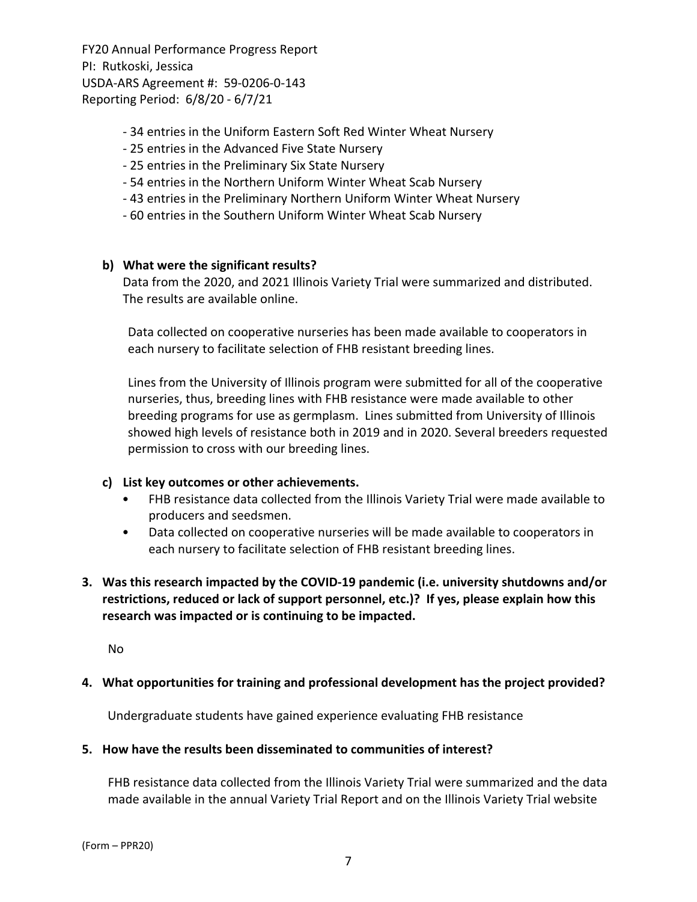- ‐ 34 entries in the Uniform Eastern Soft Red Winter Wheat Nursery
- ‐ 25 entries in the Advanced Five State Nursery
- ‐ 25 entries in the Preliminary Six State Nursery
- ‐ 54 entries in the Northern Uniform Winter Wheat Scab Nursery
- ‐ 43 entries in the Preliminary Northern Uniform Winter Wheat Nursery
- ‐ 60 entries in the Southern Uniform Winter Wheat Scab Nursery

## **b) What were the significant results?**

Data from the 2020, and 2021 Illinois Variety Trial were summarized and distributed. The results are available online.

Data collected on cooperative nurseries has been made available to cooperators in each nursery to facilitate selection of FHB resistant breeding lines.

Lines from the University of Illinois program were submitted for all of the cooperative nurseries, thus, breeding lines with FHB resistance were made available to other breeding programs for use as germplasm. Lines submitted from University of Illinois showed high levels of resistance both in 2019 and in 2020. Several breeders requested permission to cross with our breeding lines.

#### **c) List key outcomes or other achievements.**

- FHB resistance data collected from the Illinois Variety Trial were made available to producers and seedsmen.
- Data collected on cooperative nurseries will be made available to cooperators in each nursery to facilitate selection of FHB resistant breeding lines.
- **3. Was this research impacted by the COVID‐19 pandemic (i.e. university shutdowns and/or restrictions, reduced or lack of support personnel, etc.)? If yes, please explain how this research was impacted or is continuing to be impacted.**

No

#### **4. What opportunities for training and professional development has the project provided?**

Undergraduate students have gained experience evaluating FHB resistance

#### **5. How have the results been disseminated to communities of interest?**

FHB resistance data collected from the Illinois Variety Trial were summarized and the data made available in the annual Variety Trial Report and on the Illinois Variety Trial website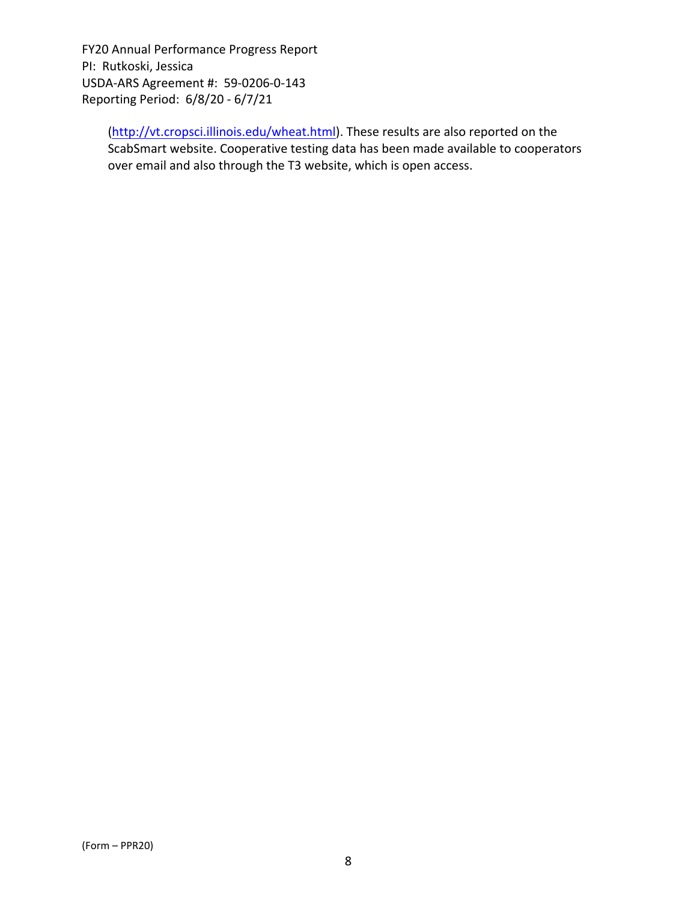> (http://vt.cropsci.illinois.edu/wheat.html). These results are also reported on the ScabSmart website. Cooperative testing data has been made available to cooperators over email and also through the T3 website, which is open access.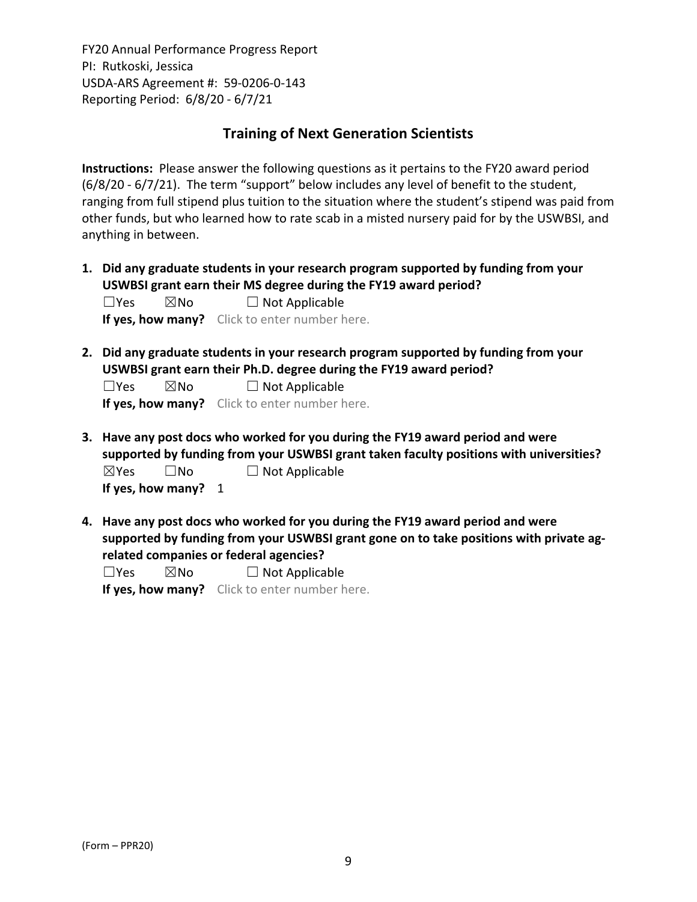# **Training of Next Generation Scientists**

**Instructions:** Please answer the following questions as it pertains to the FY20 award period (6/8/20 ‐ 6/7/21). The term "support" below includes any level of benefit to the student, ranging from full stipend plus tuition to the situation where the student's stipend was paid from other funds, but who learned how to rate scab in a misted nursery paid for by the USWBSI, and anything in between.

**1. Did any graduate students in your research program supported by funding from your USWBSI grant earn their MS degree during the FY19 award period?**  $\square$ Yes  $\square$ No  $\square$  Not Applicable

**If yes, how many?** Click to enter number here.

**2. Did any graduate students in your research program supported by funding from your USWBSI grant earn their Ph.D. degree during the FY19 award period?**

 $\square$ Yes  $\square$ No  $\square$  Not Applicable

**If yes, how many?** Click to enter number here.

- **3. Have any post docs who worked for you during the FY19 award period and were supported by funding from your USWBSI grant taken faculty positions with universities?**  $\boxtimes$ Yes  $\Box$  No  $\Box$  Not Applicable **If yes, how many?** 1
- **4. Have any post docs who worked for you during the FY19 award period and were supported by funding from your USWBSI grant gone on to take positions with private ag‐ related companies or federal agencies?**

 $\square$ Yes  $\square$ No  $\square$  Not Applicable **If yes, how many?** Click to enter number here.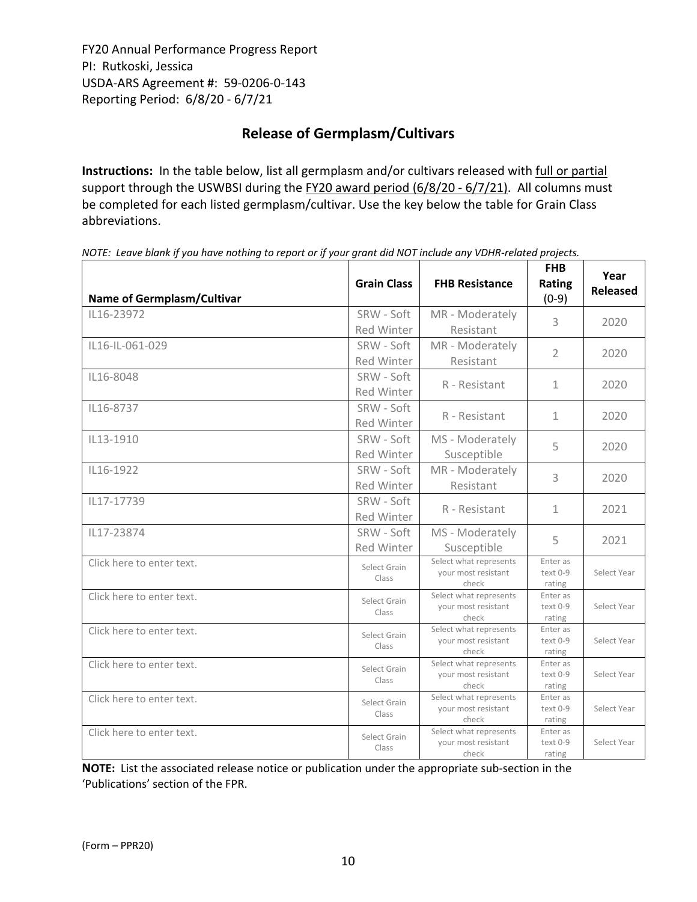# **Release of Germplasm/Cultivars**

**Instructions:** In the table below, list all germplasm and/or cultivars released with full or partial support through the USWBSI during the FY20 award period (6/8/20 - 6/7/21). All columns must be completed for each listed germplasm/cultivar. Use the key below the table for Grain Class abbreviations. 

| <b>Name of Germplasm/Cultivar</b> | <b>Grain Class</b>              | <b>FHB Resistance</b>                                  | <b>FHB</b><br>Rating<br>$(0-9)$ | Year<br><b>Released</b> |
|-----------------------------------|---------------------------------|--------------------------------------------------------|---------------------------------|-------------------------|
| IL16-23972                        | SRW - Soft<br><b>Red Winter</b> | MR - Moderately<br>Resistant                           | 3                               | 2020                    |
| IL16-IL-061-029                   | SRW - Soft<br><b>Red Winter</b> | MR - Moderately<br>Resistant                           | $\overline{2}$                  | 2020                    |
| IL16-8048                         | SRW - Soft<br>Red Winter        | R - Resistant                                          | $\mathbf{1}$                    | 2020                    |
| IL16-8737                         | SRW - Soft<br>Red Winter        | R - Resistant                                          | $\mathbf{1}$                    | 2020                    |
| IL13-1910                         | SRW - Soft<br><b>Red Winter</b> | MS - Moderately<br>Susceptible                         | 5                               | 2020                    |
| IL16-1922                         | SRW - Soft<br>Red Winter        | MR - Moderately<br>Resistant                           | 3                               | 2020                    |
| IL17-17739                        | SRW - Soft<br>Red Winter        | R - Resistant                                          | $\mathbf{1}$                    | 2021                    |
| IL17-23874                        | SRW - Soft<br><b>Red Winter</b> | MS - Moderately<br>Susceptible                         | 5                               | 2021                    |
| Click here to enter text.         | Select Grain<br>Class           | Select what represents<br>your most resistant<br>check | Enter as<br>text 0-9<br>rating  | Select Year             |
| Click here to enter text.         | Select Grain<br>Class           | Select what represents<br>your most resistant<br>check | Enter as<br>text 0-9<br>rating  | Select Year             |
| Click here to enter text.         | Select Grain<br>Class           | Select what represents<br>your most resistant<br>check | Enter as<br>text 0-9<br>rating  | Select Year             |
| Click here to enter text.         | Select Grain<br>Class           | Select what represents<br>your most resistant<br>check | Enter as<br>text 0-9<br>rating  | Select Year             |
| Click here to enter text.         | Select Grain<br>Class           | Select what represents<br>your most resistant<br>check | Enter as<br>text 0-9<br>rating  | Select Year             |
| Click here to enter text.         | Select Grain<br>Class           | Select what represents<br>your most resistant<br>check | Enter as<br>text 0-9<br>rating  | Select Year             |

NOTE: Leave blank if you have nothing to report or if your grant did NOT include any VDHR-related projects.

**NOTE:** List the associated release notice or publication under the appropriate sub-section in the 'Publications' section of the FPR.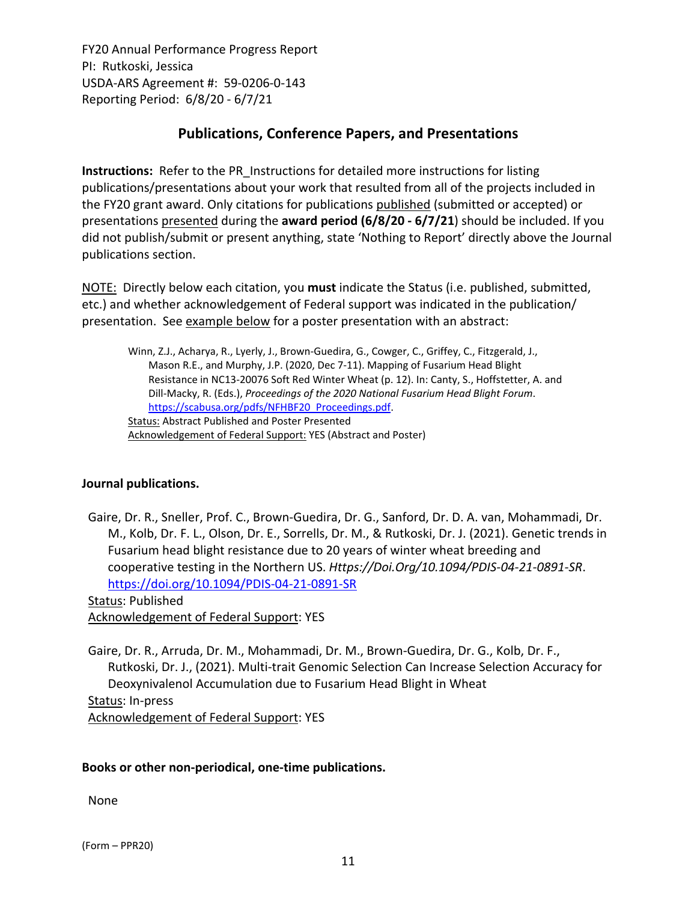# **Publications, Conference Papers, and Presentations**

**Instructions:** Refer to the PR\_Instructions for detailed more instructions for listing publications/presentations about your work that resulted from all of the projects included in the FY20 grant award. Only citations for publications published (submitted or accepted) or presentations presented during the **award period (6/8/20 ‐ 6/7/21**) should be included. If you did not publish/submit or present anything, state 'Nothing to Report' directly above the Journal publications section.

NOTE: Directly below each citation, you **must** indicate the Status (i.e. published, submitted, etc.) and whether acknowledgement of Federal support was indicated in the publication/ presentation. See example below for a poster presentation with an abstract:

Winn, Z.J., Acharya, R., Lyerly, J., Brown‐Guedira, G., Cowger, C., Griffey, C., Fitzgerald, J., Mason R.E., and Murphy, J.P. (2020, Dec 7‐11). Mapping of Fusarium Head Blight Resistance in NC13‐20076 Soft Red Winter Wheat (p. 12). In: Canty, S., Hoffstetter, A. and Dill‐Macky, R. (Eds.), *Proceedings of the 2020 National Fusarium Head Blight Forum*. https://scabusa.org/pdfs/NFHBF20\_Proceedings.pdf. Status: Abstract Published and Poster Presented Acknowledgement of Federal Support: YES (Abstract and Poster)

## **Journal publications.**

Gaire, Dr. R., Sneller, Prof. C., Brown‐Guedira, Dr. G., Sanford, Dr. D. A. van, Mohammadi, Dr. M., Kolb, Dr. F. L., Olson, Dr. E., Sorrells, Dr. M., & Rutkoski, Dr. J. (2021). Genetic trends in Fusarium head blight resistance due to 20 years of winter wheat breeding and cooperative testing in the Northern US. *Https://Doi.Org/10.1094/PDIS‐04‐21‐0891‐SR*. https://doi.org/10.1094/PDIS‐04‐21‐0891‐SR

Status: Published Acknowledgement of Federal Support: YES

Gaire, Dr. R., Arruda, Dr. M., Mohammadi, Dr. M., Brown‐Guedira, Dr. G., Kolb, Dr. F., Rutkoski, Dr. J., (2021). Multi‐trait Genomic Selection Can Increase Selection Accuracy for Deoxynivalenol Accumulation due to Fusarium Head Blight in Wheat Status: In‐press Acknowledgement of Federal Support: YES

#### **Books or other non‐periodical, one‐time publications.**

None

(Form – PPR20)